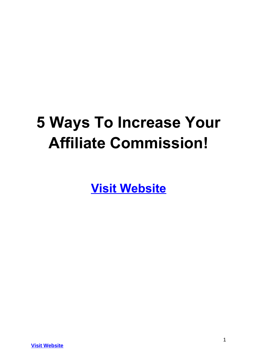# **5 Ways To Increase Your Affiliate Commission!**

**[Visit Website](http://replug.link/f7ab3460/)**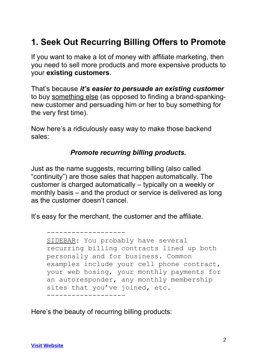# **1. Seek Out Recurring Billing Offers to Promote**

If you want to make a lot of money with affiliate marketing, then you need to sell more products and more expensive products to your **existing customers**.

That's because *it's easier to persuade an existing customer* to buy something else (as opposed to finding a brand-spankingnew customer and persuading him or her to buy something for the very first time).

Now here's a ridiculously easy way to make those backend sales:

#### *Promote recurring billing products.*

Just as the name suggests, recurring billing (also called "continuity") are those sales that happen automatically. The customer is charged automatically – typically on a weekly or monthly basis – and the product or service is delivered as long as the customer doesn't cancel.

It's easy for the merchant, the customer and the affiliate.

```
SIDEBAR: You probably have several 
recurring billing contracts lined up both 
personally and for business. Common 
examples include your cell phone contract, 
your web hosing, your monthly payments for 
an autoresponder, any monthly membership 
sites that you've joined, etc.
-------------------
```
Here's the beauty of recurring billing products:

-------------------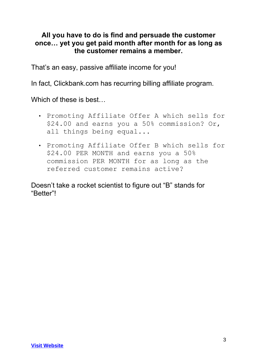#### **All you have to do is find and persuade the customer once… yet you get paid month after month for as long as the customer remains a member.**

That's an easy, passive affiliate income for you!

In fact, Clickbank.com has recurring billing affiliate program.

Which of these is best…

- Promoting Affiliate Offer A which sells for \$24.00 and earns you a 50% commission? Or, all things being equal...
- Promoting Affiliate Offer B which sells for \$24.00 PER MONTH and earns you a 50% commission PER MONTH for as long as the referred customer remains active?

Doesn't take a rocket scientist to figure out "B" stands for "Better"!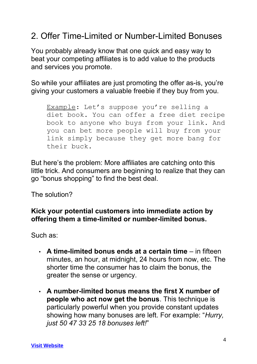### 2. Offer Time-Limited or Number-Limited Bonuses

You probably already know that one quick and easy way to beat your competing affiliates is to add value to the products and services you promote.

So while your affiliates are just promoting the offer as-is, you're giving your customers a valuable freebie if they buy from you.

Example: Let's suppose you're selling a diet book. You can offer a free diet recipe book to anyone who buys from your link. And you can bet more people will buy from your link simply because they get more bang for their buck.

But here's the problem: More affiliates are catching onto this little trick. And consumers are beginning to realize that they can go "bonus shopping" to find the best deal.

The solution?

#### **Kick your potential customers into immediate action by offering them a time-limited or number-limited bonus.**

Such as:

- **A time-limited bonus ends at a certain time** in fifteen minutes, an hour, at midnight, 24 hours from now, etc. The shorter time the consumer has to claim the bonus, the greater the sense or urgency.
- **A number-limited bonus means the first X number of people who act now get the bonus**. This technique is particularly powerful when you provide constant updates showing how many bonuses are left. For example: "*Hurry, just 50 47 33 25 18 bonuses left!*"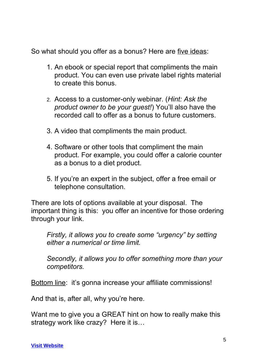So what should you offer as a bonus? Here are five ideas:

- 1. An ebook or special report that compliments the main product. You can even use private label rights material to create this bonus.
- 2. Access to a customer-only webinar. (*Hint: Ask the product owner to be your guest!*) You'll also have the recorded call to offer as a bonus to future customers.
- 3. A video that compliments the main product.
- 4. Software or other tools that compliment the main product. For example, you could offer a calorie counter as a bonus to a diet product.
- 5. If you're an expert in the subject, offer a free email or telephone consultation.

There are lots of options available at your disposal. The important thing is this: you offer an incentive for those ordering through your link.

*Firstly, it allows you to create some "urgency" by setting either a numerical or time limit.*

*Secondly, it allows you to offer something more than your competitors.*

Bottom line: it's gonna increase your affiliate commissions!

And that is, after all, why you're here.

Want me to give you a GREAT hint on how to really make this strategy work like crazy? Here it is…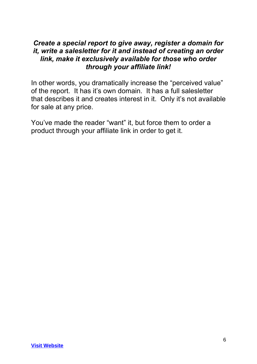#### *Create a special report to give away, register a domain for it, write a salesletter for it and instead of creating an order link, make it exclusively available for those who order through your affiliate link!*

In other words, you dramatically increase the "perceived value" of the report. It has it's own domain. It has a full salesletter that describes it and creates interest in it. Only it's not available for sale at any price.

You've made the reader "want" it, but force them to order a product through your affiliate link in order to get it.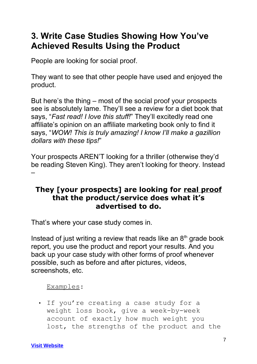# **3. Write Case Studies Showing How You've Achieved Results Using the Product**

People are looking for social proof.

They want to see that other people have used and enjoyed the product.

But here's the thing – most of the social proof your prospects see is absolutely lame. They'll see a review for a diet book that says, "*Fast read! I love this stuff!*" They'll excitedly read one affiliate's opinion on an affiliate marketing book only to find it says, "*WOW! This is truly amazing! I know I'll make a gazillion dollars with these tips!*"

Your prospects AREN'T looking for a thriller (otherwise they'd be reading Steven King). They aren't looking for theory. Instead –

#### **They [your prospects] are looking for real proof that the product/service does what it's advertised to do.**

That's where your case study comes in.

Instead of just writing a review that reads like an  $8<sup>th</sup>$  grade book report, you use the product and report your results. And you back up your case study with other forms of proof whenever possible, such as before and after pictures, videos, screenshots, etc.

#### Examples:

• If you're creating a case study for a weight loss book, give a week-by-week account of exactly how much weight you lost, the strengths of the product and the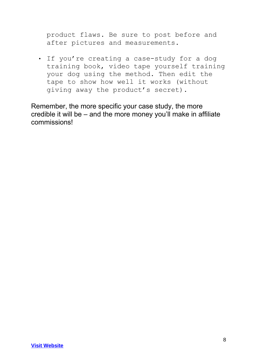product flaws. Be sure to post before and after pictures and measurements.

• If you're creating a case-study for a dog training book, video tape yourself training your dog using the method. Then edit the tape to show how well it works (without giving away the product's secret).

Remember, the more specific your case study, the more credible it will be – and the more money you'll make in affiliate commissions!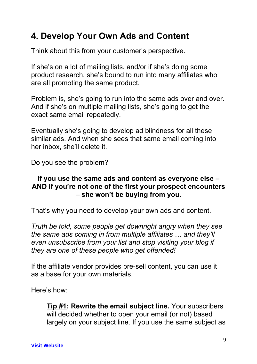# **4. Develop Your Own Ads and Content**

Think about this from your customer's perspective.

If she's on a lot of mailing lists, and/or if she's doing some product research, she's bound to run into many affiliates who are all promoting the same product.

Problem is, she's going to run into the same ads over and over. And if she's on multiple mailing lists, she's going to get the exact same email repeatedly.

Eventually she's going to develop ad blindness for all these similar ads. And when she sees that same email coming into her inbox, she'll delete it.

Do you see the problem?

#### **If you use the same ads and content as everyone else – AND if you're not one of the first your prospect encounters – she won't be buying from you.**

That's why you need to develop your own ads and content.

*Truth be told, some people get downright angry when they see the same ads coming in from multiple affiliates … and they'll even unsubscribe from your list and stop visiting your blog if they are one of these people who get offended!*

If the affiliate vendor provides pre-sell content, you can use it as a base for your own materials.

Here's how:

**Tip #1: Rewrite the email subject line.** Your subscribers will decided whether to open your email (or not) based largely on your subject line. If you use the same subject as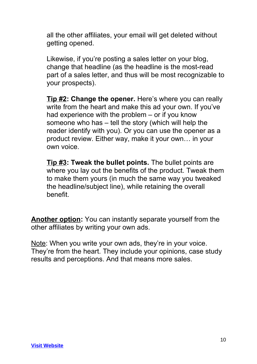all the other affiliates, your email will get deleted without getting opened.

Likewise, if you're posting a sales letter on your blog, change that headline (as the headline is the most-read part of a sales letter, and thus will be most recognizable to your prospects).

**Tip #2: Change the opener.** Here's where you can really write from the heart and make this ad your own. If you've had experience with the problem – or if you know someone who has – tell the story (which will help the reader identify with you). Or you can use the opener as a product review. Either way, make it your own… in your own voice.

**Tip #3: Tweak the bullet points.** The bullet points are where you lay out the benefits of the product. Tweak them to make them yours (in much the same way you tweaked the headline/subject line), while retaining the overall benefit.

**Another option:** You can instantly separate yourself from the other affiliates by writing your own ads.

Note: When you write your own ads, they're in your voice. They're from the heart. They include your opinions, case study results and perceptions. And that means more sales.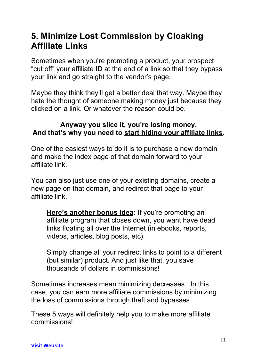## **5. Minimize Lost Commission by Cloaking Affiliate Links**

Sometimes when you're promoting a product, your prospect "cut off" your affiliate ID at the end of a link so that they bypass your link and go straight to the vendor's page.

Maybe they think they'll get a better deal that way. Maybe they hate the thought of someone making money just because they clicked on a link. Or whatever the reason could be.

#### **Anyway you slice it, you're losing money. And that's why you need to start hiding your affiliate links.**

One of the easiest ways to do it is to purchase a new domain and make the index page of that domain forward to your affiliate link.

You can also just use one of your existing domains, create a new page on that domain, and redirect that page to your affiliate link.

**Here's another bonus idea:** If you're promoting an affiliate program that closes down, you want have dead links floating all over the Internet (in ebooks, reports, videos, articles, blog posts, etc).

Simply change all your redirect links to point to a different (but similar) product. And just like that, you save thousands of dollars in commissions!

Sometimes increases mean minimizing decreases. In this case, you can earn more affiliate commissions by minimizing the loss of commissions through theft and bypasses.

These 5 ways will definitely help you to make more affiliate commissions!